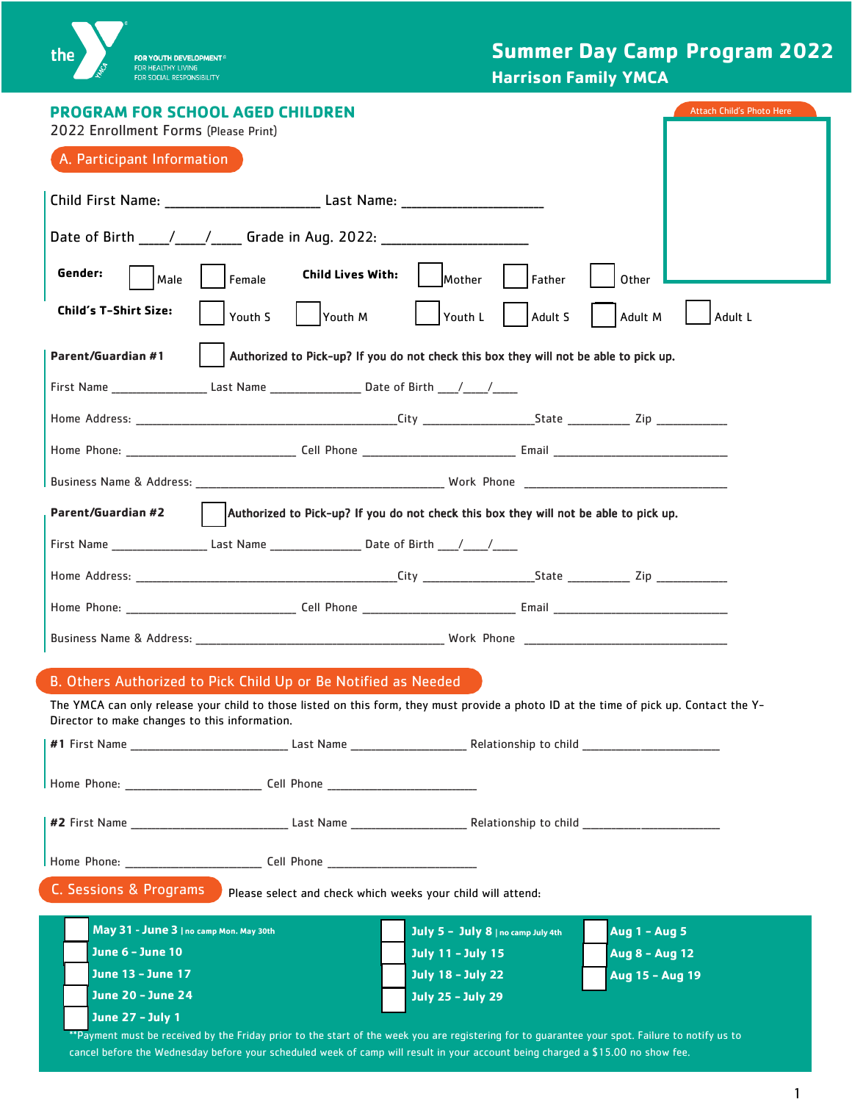

# **Summer Day Camp Program 2022**

**Harrison Family YMCA**

| <b>PROGRAM FOR SCHOOL AGED CHILDREN</b><br>2022 Enrollment Forms (Please Print)                                                                 |                                                                                       | Attach Child's Photo Here |  |  |  |  |
|-------------------------------------------------------------------------------------------------------------------------------------------------|---------------------------------------------------------------------------------------|---------------------------|--|--|--|--|
| A. Participant Information                                                                                                                      |                                                                                       |                           |  |  |  |  |
|                                                                                                                                                 |                                                                                       |                           |  |  |  |  |
|                                                                                                                                                 |                                                                                       |                           |  |  |  |  |
| Date of Birth ____/____/ _____ Grade in Aug. 2022: _____________________________                                                                |                                                                                       |                           |  |  |  |  |
| Gender:<br><b>Child Lives With:</b><br>Female<br>Male                                                                                           | Mother<br>Father                                                                      | Other                     |  |  |  |  |
| <b>Child's T-Shirt Size:</b><br>Youth S<br>Youth M                                                                                              | Adult 5<br>Youth L                                                                    | Adult M<br>Adult L        |  |  |  |  |
| Parent/Guardian #1                                                                                                                              | Authorized to Pick-up? If you do not check this box they will not be able to pick up. |                           |  |  |  |  |
| First Name _______________________Last Name _____________________Date of Birth ____/_____/_________                                             |                                                                                       |                           |  |  |  |  |
|                                                                                                                                                 |                                                                                       |                           |  |  |  |  |
|                                                                                                                                                 |                                                                                       |                           |  |  |  |  |
|                                                                                                                                                 |                                                                                       |                           |  |  |  |  |
| <b>Parent/Guardian #2</b><br>Authorized to Pick-up? If you do not check this box they will not be able to pick up.                              |                                                                                       |                           |  |  |  |  |
| First Name ________________________ Last Name _________________________ Date of Birth ____/_____/_________                                      |                                                                                       |                           |  |  |  |  |
|                                                                                                                                                 |                                                                                       |                           |  |  |  |  |
|                                                                                                                                                 |                                                                                       |                           |  |  |  |  |
|                                                                                                                                                 |                                                                                       |                           |  |  |  |  |
| B. Others Authorized to Pick Child Up or Be Notified as Needed                                                                                  |                                                                                       |                           |  |  |  |  |
| The YMCA can only release your child to those listed on this form, they must provide a photo ID at the time of pick up. Contact the Y-          |                                                                                       |                           |  |  |  |  |
| Director to make changes to this information.                                                                                                   |                                                                                       |                           |  |  |  |  |
|                                                                                                                                                 |                                                                                       |                           |  |  |  |  |
|                                                                                                                                                 |                                                                                       |                           |  |  |  |  |
|                                                                                                                                                 |                                                                                       |                           |  |  |  |  |
|                                                                                                                                                 |                                                                                       |                           |  |  |  |  |
| C. Sessions & Programs<br>Please select and check which weeks your child will attend:                                                           |                                                                                       |                           |  |  |  |  |
| May 31 - June 3   no camp Mon. May 30th                                                                                                         | July 5 - July 8   no camp July 4th                                                    | <b>Aug 1 - Aug 5</b>      |  |  |  |  |
| <b>June 6 - June 10</b>                                                                                                                         | <b>July 11 - July 15</b>                                                              | Aug 8 - Aug 12            |  |  |  |  |
| June 13 - June 17                                                                                                                               | <b>July 18 - July 22</b>                                                              | Aug 15 - Aug 19           |  |  |  |  |
| June 20 - June 24                                                                                                                               | July 25 - July 29                                                                     |                           |  |  |  |  |
| <b>June 27 - July 1</b>                                                                                                                         |                                                                                       |                           |  |  |  |  |
| **Payment must be received by the Friday prior to the start of the week you are registering for to guarantee your spot. Failure to notify us to |                                                                                       |                           |  |  |  |  |

cancel before the Wednesday before your scheduled week of camp will result in your account being charged a \$15.00 no show fee.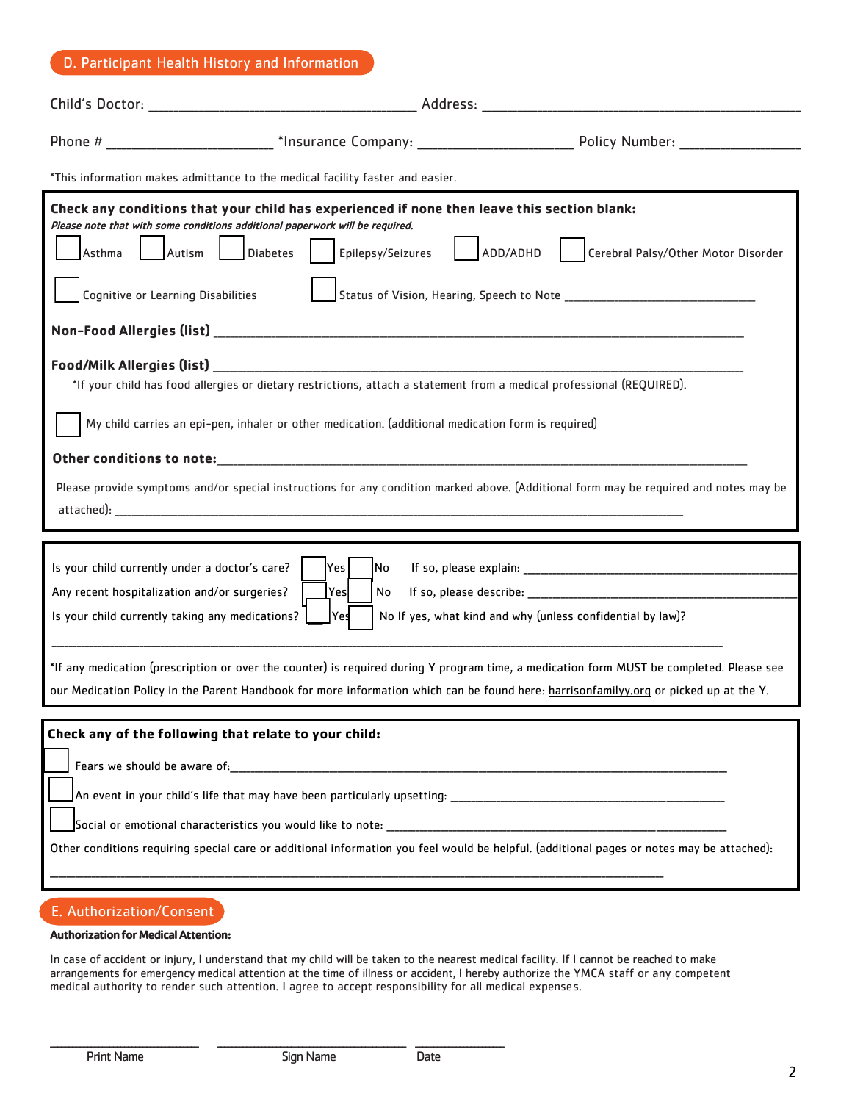### D. Participant Health History and Information

| *This information makes admittance to the medical facility faster and easier.                                                                                                                                                                                                     |                                                                                                                                       |  |  |  |  |  |
|-----------------------------------------------------------------------------------------------------------------------------------------------------------------------------------------------------------------------------------------------------------------------------------|---------------------------------------------------------------------------------------------------------------------------------------|--|--|--|--|--|
| Check any conditions that your child has experienced if none then leave this section blank:<br>Please note that with some conditions additional paperwork will be required.<br>Epilepsy/Seizures<br>Autism Diabetes<br>Asthma<br>Cognitive or Learning Disabilities               | ADD/ADHD<br>  Cerebral Palsy/Other Motor Disorder                                                                                     |  |  |  |  |  |
|                                                                                                                                                                                                                                                                                   |                                                                                                                                       |  |  |  |  |  |
| *If your child has food allergies or dietary restrictions, attach a statement from a medical professional (REQUIRED).                                                                                                                                                             |                                                                                                                                       |  |  |  |  |  |
| My child carries an epi-pen, inhaler or other medication. (additional medication form is required)                                                                                                                                                                                |                                                                                                                                       |  |  |  |  |  |
|                                                                                                                                                                                                                                                                                   |                                                                                                                                       |  |  |  |  |  |
|                                                                                                                                                                                                                                                                                   | Please provide symptoms and/or special instructions for any condition marked above. (Additional form may be required and notes may be |  |  |  |  |  |
|                                                                                                                                                                                                                                                                                   |                                                                                                                                       |  |  |  |  |  |
| Is your child currently under a doctor's care?<br> Yes <br> No<br>Yes<br>Any recent hospitalization and/or surgeries?<br><b>No</b><br>Is your child currently taking any medications?<br> Yes                                                                                     | No If yes, what kind and why (unless confidential by law)?                                                                            |  |  |  |  |  |
| *If any medication (prescription or over the counter) is required during Y program time, a medication form MUST be completed. Please see<br>our Medication Policy in the Parent Handbook for more information which can be found here: harrisonfamilyy.org or picked up at the Y. |                                                                                                                                       |  |  |  |  |  |
| Check any of the following that relate to your child:                                                                                                                                                                                                                             |                                                                                                                                       |  |  |  |  |  |
| Other conditions requiring special care or additional information you feel would be helpful. (additional pages or notes may be attached):                                                                                                                                         |                                                                                                                                       |  |  |  |  |  |
| E. Authorization/Consent<br><b>Authorization for Medical Attention:</b>                                                                                                                                                                                                           |                                                                                                                                       |  |  |  |  |  |

In case of accident or injury, I understand that my child will be taken to the nearest medical facility. If I cannot be reached to make arrangements for emergency medical attention at the time of illness or accident, I hereby authorize the YMCA staff or any competent medical authority to render such attention. I agree to accept responsibility for all medical expenses.

\_\_\_\_\_\_\_\_\_\_\_\_\_\_\_\_\_\_\_\_\_\_\_\_\_\_\_\_\_\_\_\_\_\_\_\_\_\_\_\_ \_\_\_\_\_\_\_\_\_\_\_\_\_\_\_\_\_\_\_\_\_\_\_\_\_\_\_\_\_\_\_\_\_\_\_\_\_\_\_\_\_\_\_\_\_\_\_\_\_\_\_ \_\_\_\_\_\_\_\_\_\_\_\_\_\_\_\_\_\_\_\_\_\_\_\_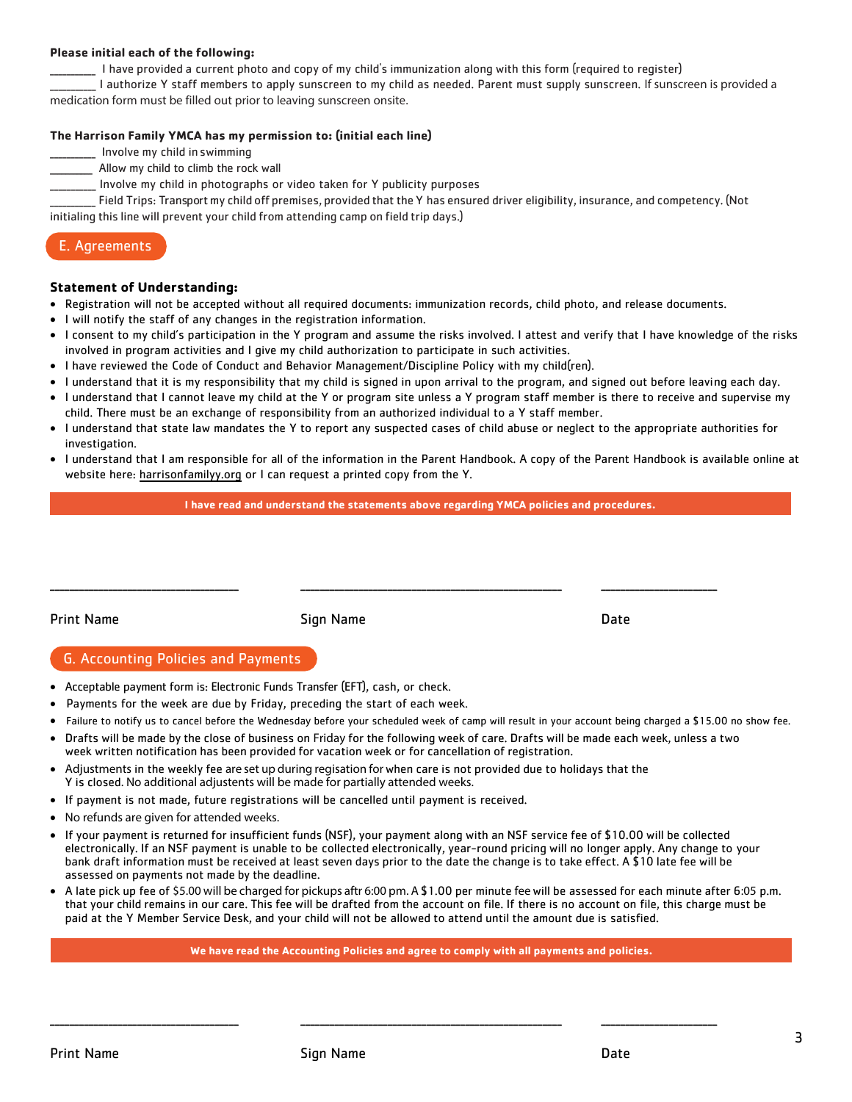### **Please initial each of the following:**

I have provided a current photo and copy of my child's immunization along with this form (required to register)

I authorize Y staff members to apply sunscreen to my child as needed. Parent must supply sunscreen. If sunscreen is provided a medication form must be filled out prior to leaving sunscreen onsite.

#### **The Harrison Family YMCA has my permission to: (initial each line)**

- \_\_\_\_\_\_\_\_\_\_\_ Involve my child in swimming
- Allow my child to climb the rock wall
- Involve my child in photographs or video taken for Y publicity purposes

\_\_\_\_\_\_\_\_\_\_\_ Field Trips: Transport my child off premises, provided that the Y has ensured driver eligibility, insurance, and competency. (Not initialing this line will prevent your child from attending camp on field trip days.)

## E. Agreements

### **Statement of Understanding:**

- Registration will not be accepted without all required documents: immunization records, child photo, and release documents.
- I will notify the staff of any changes in the registration information.
- I consent to my child's participation in the Y program and assume the risks involved. I attest and verify that I have knowledge of the risks involved in program activities and I give my child authorization to participate in such activities.
- I have reviewed the Code of Conduct and Behavior Management/Discipline Policy with my child(ren).
- I understand that it is my responsibility that my child is signed in upon arrival to the program, and signed out before leaving each day.
- I understand that I cannot leave my child at the Y or program site unless a Y program staff member is there to receive and supervise my child. There must be an exchange of responsibility from an authorized individual to a Y staff member.
- I understand that state law mandates the Y to report any suspected cases of child abuse or neglect to the appropriate authorities for investigation.
- I understand that I am responsible for all of the information in the Parent Handbook. A copy of the Parent Handbook is available online at website here: harrisonfamilyy.org or I can request a printed copy from the Y.

**I have read and understand the statements above regarding YMCA policies and procedures.**

| <b>Drint Name</b> |  |
|-------------------|--|

Print Name Sign Name Date

# G. Accounting Policies and Payments

- Acceptable payment form is: Electronic Funds Transfer (EFT), cash, or check.
- Payments for the week are due by Friday, preceding the start of each week.
- Failure to notify us to cancel before the Wednesday before your scheduled week of camp will result in your account being charged a \$15.00 no show fee.
- Drafts will be made by the close of business on Friday for the following week of care. Drafts will be made each week, unless a two week written notification has been provided for vacation week or for cancellation of registration.

\_\_\_\_\_\_\_\_\_\_\_\_\_\_\_\_\_\_\_\_\_\_\_\_\_\_\_\_\_\_\_\_\_\_\_\_\_\_\_ \_\_\_\_\_\_\_\_\_\_\_\_\_\_\_\_\_\_\_\_\_\_\_\_\_\_\_\_\_\_\_\_\_\_\_\_\_\_\_\_\_\_\_\_\_\_\_\_\_\_\_\_\_\_ \_\_\_\_\_\_\_\_\_\_\_\_\_\_\_\_\_\_\_\_\_\_\_\_

- Adjustments in the weekly fee are set up during regisation for when care is not provided due to holidays that the Y is closed. No additional adjustents will be made for partially attended weeks.
- If payment is not made, future registrations will be cancelled until payment is received.
- No refunds are given for attended weeks.
- If your payment is returned for insufficient funds (NSF), your payment along with an NSF service fee of \$10.00 will be collected electronically. If an NSF payment is unable to be collected electronically, year-round pricing will no longer apply. Any change to your bank draft information must be received at least seven days prior to the date the change is to take effect. A \$10 late fee will be assessed on payments not made by the deadline.
- A late pick up fee of \$5.00 will be charged for pickups aftr 6:00 pm. A \$1.00 per minute fee will be assessed for each minute after 6:05 p.m. that your child remains in our care. This fee will be drafted from the account on file. If there is no account on file, this charge must be paid at the Y Member Service Desk, and your child will not be allowed to attend until the amount due is satisfied.

**We have read the Accounting Policies and agree to comply with all payments and policies.** 

\_\_\_\_\_\_\_\_\_\_\_\_\_\_\_\_\_\_\_\_\_\_\_\_\_\_\_\_\_\_\_\_\_\_\_\_\_\_\_ \_\_\_\_\_\_\_\_\_\_\_\_\_\_\_\_\_\_\_\_\_\_\_\_\_\_\_\_\_\_\_\_\_\_\_\_\_\_\_\_\_\_\_\_\_\_\_\_\_\_\_\_\_\_ \_\_\_\_\_\_\_\_\_\_\_\_\_\_\_\_\_\_\_\_\_\_\_\_